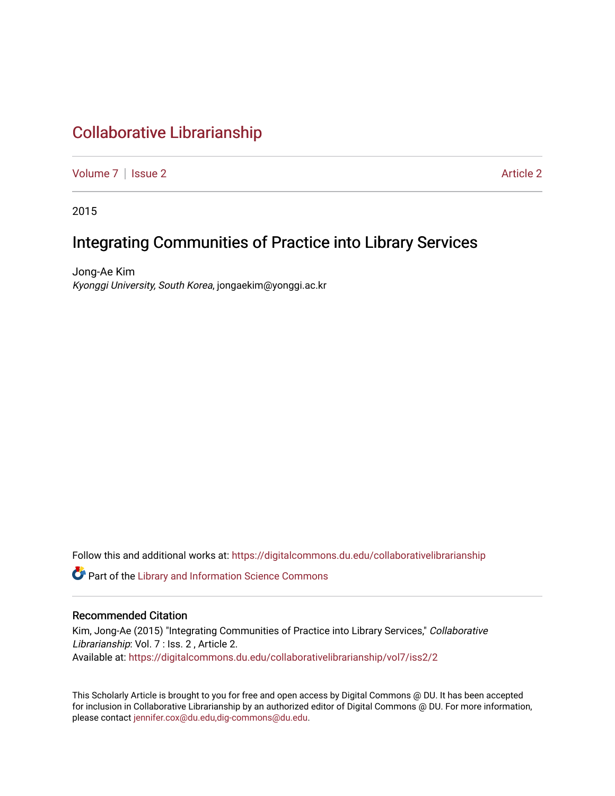# [Collaborative Librarianship](https://digitalcommons.du.edu/collaborativelibrarianship)

[Volume 7](https://digitalcommons.du.edu/collaborativelibrarianship/vol7) | [Issue 2](https://digitalcommons.du.edu/collaborativelibrarianship/vol7/iss2) Article 2

2015

## Integrating Communities of Practice into Library Services

Jong-Ae Kim Kyonggi University, South Korea, jongaekim@yonggi.ac.kr

Follow this and additional works at: [https://digitalcommons.du.edu/collaborativelibrarianship](https://digitalcommons.du.edu/collaborativelibrarianship?utm_source=digitalcommons.du.edu%2Fcollaborativelibrarianship%2Fvol7%2Fiss2%2F2&utm_medium=PDF&utm_campaign=PDFCoverPages) 

Part of the [Library and Information Science Commons](http://network.bepress.com/hgg/discipline/1018?utm_source=digitalcommons.du.edu%2Fcollaborativelibrarianship%2Fvol7%2Fiss2%2F2&utm_medium=PDF&utm_campaign=PDFCoverPages) 

#### Recommended Citation

Kim, Jong-Ae (2015) "Integrating Communities of Practice into Library Services," Collaborative Librarianship: Vol. 7 : Iss. 2, Article 2. Available at: [https://digitalcommons.du.edu/collaborativelibrarianship/vol7/iss2/2](https://digitalcommons.du.edu/collaborativelibrarianship/vol7/iss2/2?utm_source=digitalcommons.du.edu%2Fcollaborativelibrarianship%2Fvol7%2Fiss2%2F2&utm_medium=PDF&utm_campaign=PDFCoverPages) 

This Scholarly Article is brought to you for free and open access by Digital Commons @ DU. It has been accepted for inclusion in Collaborative Librarianship by an authorized editor of Digital Commons @ DU. For more information, please contact [jennifer.cox@du.edu,dig-commons@du.edu](mailto:jennifer.cox@du.edu,dig-commons@du.edu).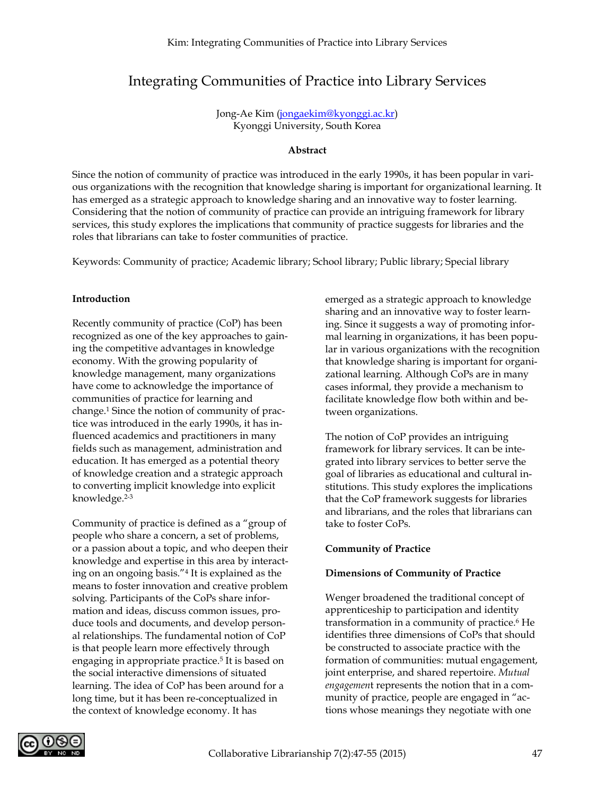### Integrating Communities of Practice into Library Services

Jong-Ae Kim [\(jongaekim@kyonggi.ac.kr\)](mailto:jongaekim@kyonggi.ac.kr) Kyonggi University, South Korea

#### **Abstract**

Since the notion of community of practice was introduced in the early 1990s, it has been popular in various organizations with the recognition that knowledge sharing is important for organizational learning. It has emerged as a strategic approach to knowledge sharing and an innovative way to foster learning. Considering that the notion of community of practice can provide an intriguing framework for library services, this study explores the implications that community of practice suggests for libraries and the roles that librarians can take to foster communities of practice.

Keywords: Community of practice; Academic library; School library; Public library; Special library

#### **Introduction**

Recently community of practice (CoP) has been recognized as one of the key approaches to gaining the competitive advantages in knowledge economy. With the growing popularity of knowledge management, many organizations have come to acknowledge the importance of communities of practice for learning and change.1 Since the notion of community of practice was introduced in the early 1990s, it has influenced academics and practitioners in many fields such as management, administration and education. It has emerged as a potential theory of knowledge creation and a strategic approach to converting implicit knowledge into explicit knowledge.2-3

Community of practice is defined as a "group of people who share a concern, a set of problems, or a passion about a topic, and who deepen their knowledge and expertise in this area by interacting on an ongoing basis."4 It is explained as the means to foster innovation and creative problem solving. Participants of the CoPs share information and ideas, discuss common issues, produce tools and documents, and develop personal relationships. The fundamental notion of CoP is that people learn more effectively through engaging in appropriate practice.<sup>5</sup> It is based on the social interactive dimensions of situated learning. The idea of CoP has been around for a long time, but it has been re-conceptualized in the context of knowledge economy. It has

emerged as a strategic approach to knowledge sharing and an innovative way to foster learning. Since it suggests a way of promoting informal learning in organizations, it has been popular in various organizations with the recognition that knowledge sharing is important for organizational learning. Although CoPs are in many cases informal, they provide a mechanism to facilitate knowledge flow both within and between organizations.

The notion of CoP provides an intriguing framework for library services. It can be integrated into library services to better serve the goal of libraries as educational and cultural institutions. This study explores the implications that the CoP framework suggests for libraries and librarians, and the roles that librarians can take to foster CoPs.

#### **Community of Practice**

#### **Dimensions of Community of Practice**

Wenger broadened the traditional concept of apprenticeship to participation and identity transformation in a community of practice.<sup>6</sup> He identifies three dimensions of CoPs that should be constructed to associate practice with the formation of communities: mutual engagement, joint enterprise, and shared repertoire. *Mutual engagemen*t represents the notion that in a community of practice, people are engaged in "actions whose meanings they negotiate with one

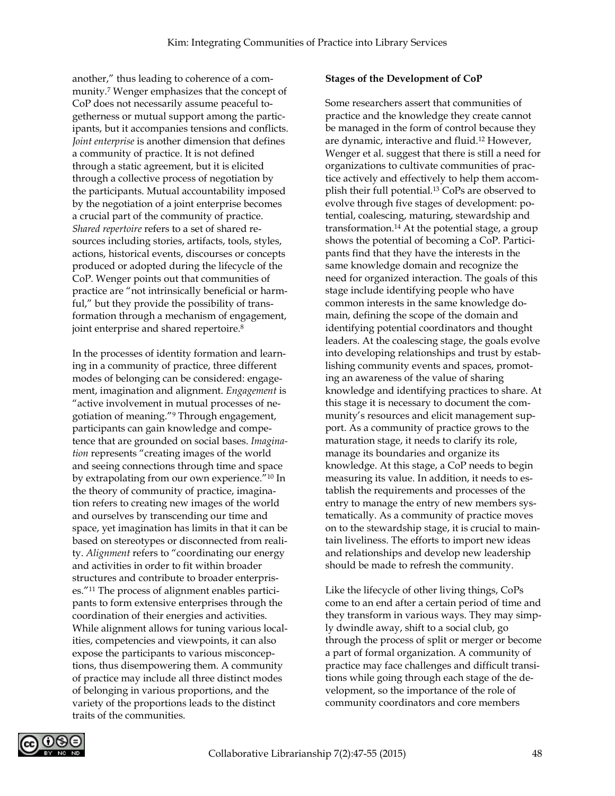another," thus leading to coherence of a community.7 Wenger emphasizes that the concept of CoP does not necessarily assume peaceful togetherness or mutual support among the participants, but it accompanies tensions and conflicts. *Joint enterprise* is another dimension that defines a community of practice. It is not defined through a static agreement, but it is elicited through a collective process of negotiation by the participants. Mutual accountability imposed by the negotiation of a joint enterprise becomes a crucial part of the community of practice. *Shared repertoire* refers to a set of shared resources including stories, artifacts, tools, styles, actions, historical events, discourses or concepts produced or adopted during the lifecycle of the CoP. Wenger points out that communities of practice are "not intrinsically beneficial or harmful," but they provide the possibility of transformation through a mechanism of engagement, joint enterprise and shared repertoire.<sup>8</sup>

In the processes of identity formation and learning in a community of practice, three different modes of belonging can be considered: engagement, imagination and alignment. *Engagement* is "active involvement in mutual processes of negotiation of meaning."9 Through engagement, participants can gain knowledge and competence that are grounded on social bases. *Imagination* represents "creating images of the world and seeing connections through time and space by extrapolating from our own experience."10 In the theory of community of practice, imagination refers to creating new images of the world and ourselves by transcending our time and space, yet imagination has limits in that it can be based on stereotypes or disconnected from reality. *Alignment* refers to "coordinating our energy and activities in order to fit within broader structures and contribute to broader enterprises."11 The process of alignment enables participants to form extensive enterprises through the coordination of their energies and activities. While alignment allows for tuning various localities, competencies and viewpoints, it can also expose the participants to various misconceptions, thus disempowering them. A community of practice may include all three distinct modes of belonging in various proportions, and the variety of the proportions leads to the distinct traits of the communities.

#### **Stages of the Development of CoP**

Some researchers assert that communities of practice and the knowledge they create cannot be managed in the form of control because they are dynamic, interactive and fluid.12 However, Wenger et al. suggest that there is still a need for organizations to cultivate communities of practice actively and effectively to help them accomplish their full potential.13 CoPs are observed to evolve through five stages of development: potential, coalescing, maturing, stewardship and transformation.14 At the potential stage, a group shows the potential of becoming a CoP. Participants find that they have the interests in the same knowledge domain and recognize the need for organized interaction. The goals of this stage include identifying people who have common interests in the same knowledge domain, defining the scope of the domain and identifying potential coordinators and thought leaders. At the coalescing stage, the goals evolve into developing relationships and trust by establishing community events and spaces, promoting an awareness of the value of sharing knowledge and identifying practices to share. At this stage it is necessary to document the community's resources and elicit management support. As a community of practice grows to the maturation stage, it needs to clarify its role, manage its boundaries and organize its knowledge. At this stage, a CoP needs to begin measuring its value. In addition, it needs to establish the requirements and processes of the entry to manage the entry of new members systematically. As a community of practice moves on to the stewardship stage, it is crucial to maintain liveliness. The efforts to import new ideas and relationships and develop new leadership should be made to refresh the community.

Like the lifecycle of other living things, CoPs come to an end after a certain period of time and they transform in various ways. They may simply dwindle away, shift to a social club, go through the process of split or merger or become a part of formal organization. A community of practice may face challenges and difficult transitions while going through each stage of the development, so the importance of the role of community coordinators and core members

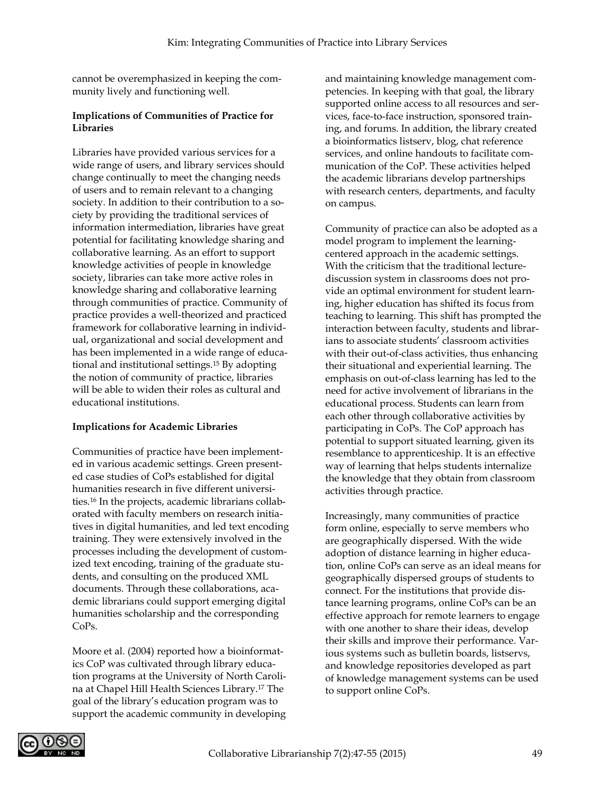cannot be overemphasized in keeping the community lively and functioning well.

#### **Implications of Communities of Practice for Libraries**

Libraries have provided various services for a wide range of users, and library services should change continually to meet the changing needs of users and to remain relevant to a changing society. In addition to their contribution to a society by providing the traditional services of information intermediation, libraries have great potential for facilitating knowledge sharing and collaborative learning. As an effort to support knowledge activities of people in knowledge society, libraries can take more active roles in knowledge sharing and collaborative learning through communities of practice. Community of practice provides a well-theorized and practiced framework for collaborative learning in individual, organizational and social development and has been implemented in a wide range of educational and institutional settings.15 By adopting the notion of community of practice, libraries will be able to widen their roles as cultural and educational institutions.

#### **Implications for Academic Libraries**

Communities of practice have been implemented in various academic settings. Green presented case studies of CoPs established for digital humanities research in five different universities.16 In the projects, academic librarians collaborated with faculty members on research initiatives in digital humanities, and led text encoding training. They were extensively involved in the processes including the development of customized text encoding, training of the graduate students, and consulting on the produced XML documents. Through these collaborations, academic librarians could support emerging digital humanities scholarship and the corresponding CoPs.

Moore et al. (2004) reported how a bioinformatics CoP was cultivated through library education programs at the University of North Carolina at Chapel Hill Health Sciences Library.17 The goal of the library's education program was to support the academic community in developing

and maintaining knowledge management competencies. In keeping with that goal, the library supported online access to all resources and services, face-to-face instruction, sponsored training, and forums. In addition, the library created a bioinformatics listserv, blog, chat reference services, and online handouts to facilitate communication of the CoP. These activities helped the academic librarians develop partnerships with research centers, departments, and faculty on campus.

Community of practice can also be adopted as a model program to implement the learningcentered approach in the academic settings. With the criticism that the traditional lecturediscussion system in classrooms does not provide an optimal environment for student learning, higher education has shifted its focus from teaching to learning. This shift has prompted the interaction between faculty, students and librarians to associate students' classroom activities with their out-of-class activities, thus enhancing their situational and experiential learning. The emphasis on out-of-class learning has led to the need for active involvement of librarians in the educational process. Students can learn from each other through collaborative activities by participating in CoPs. The CoP approach has potential to support situated learning, given its resemblance to apprenticeship. It is an effective way of learning that helps students internalize the knowledge that they obtain from classroom activities through practice.

Increasingly, many communities of practice form online, especially to serve members who are geographically dispersed. With the wide adoption of distance learning in higher education, online CoPs can serve as an ideal means for geographically dispersed groups of students to connect. For the institutions that provide distance learning programs, online CoPs can be an effective approach for remote learners to engage with one another to share their ideas, develop their skills and improve their performance. Various systems such as bulletin boards, listservs, and knowledge repositories developed as part of knowledge management systems can be used to support online CoPs.

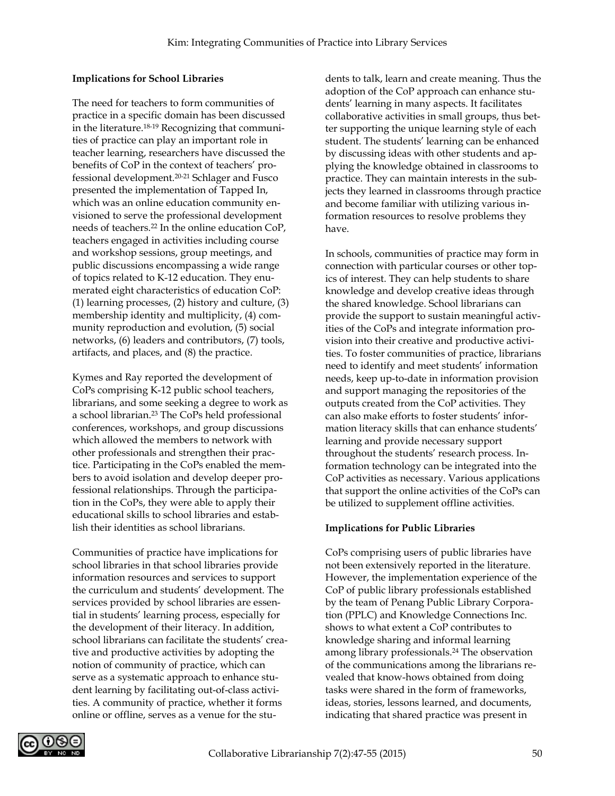#### **Implications for School Libraries**

The need for teachers to form communities of practice in a specific domain has been discussed in the literature.18-19 Recognizing that communities of practice can play an important role in teacher learning, researchers have discussed the benefits of CoP in the context of teachers' professional development.20-21 Schlager and Fusco presented the implementation of Tapped In, which was an online education community envisioned to serve the professional development needs of teachers.22 In the online education CoP, teachers engaged in activities including course and workshop sessions, group meetings, and public discussions encompassing a wide range of topics related to K-12 education. They enumerated eight characteristics of education CoP: (1) learning processes, (2) history and culture, (3) membership identity and multiplicity, (4) community reproduction and evolution, (5) social networks, (6) leaders and contributors, (7) tools, artifacts, and places, and (8) the practice.

Kymes and Ray reported the development of CoPs comprising K-12 public school teachers, librarians, and some seeking a degree to work as a school librarian.23 The CoPs held professional conferences, workshops, and group discussions which allowed the members to network with other professionals and strengthen their practice. Participating in the CoPs enabled the members to avoid isolation and develop deeper professional relationships. Through the participation in the CoPs, they were able to apply their educational skills to school libraries and establish their identities as school librarians.

Communities of practice have implications for school libraries in that school libraries provide information resources and services to support the curriculum and students' development. The services provided by school libraries are essential in students' learning process, especially for the development of their literacy. In addition, school librarians can facilitate the students' creative and productive activities by adopting the notion of community of practice, which can serve as a systematic approach to enhance student learning by facilitating out-of-class activities. A community of practice, whether it forms online or offline, serves as a venue for the students to talk, learn and create meaning. Thus the adoption of the CoP approach can enhance students' learning in many aspects. It facilitates collaborative activities in small groups, thus better supporting the unique learning style of each student. The students' learning can be enhanced by discussing ideas with other students and applying the knowledge obtained in classrooms to practice. They can maintain interests in the subjects they learned in classrooms through practice and become familiar with utilizing various information resources to resolve problems they have.

In schools, communities of practice may form in connection with particular courses or other topics of interest. They can help students to share knowledge and develop creative ideas through the shared knowledge. School librarians can provide the support to sustain meaningful activities of the CoPs and integrate information provision into their creative and productive activities. To foster communities of practice, librarians need to identify and meet students' information needs, keep up-to-date in information provision and support managing the repositories of the outputs created from the CoP activities. They can also make efforts to foster students' information literacy skills that can enhance students' learning and provide necessary support throughout the students' research process. Information technology can be integrated into the CoP activities as necessary. Various applications that support the online activities of the CoPs can be utilized to supplement offline activities.

### **Implications for Public Libraries**

CoPs comprising users of public libraries have not been extensively reported in the literature. However, the implementation experience of the CoP of public library professionals established by the team of Penang Public Library Corporation (PPLC) and Knowledge Connections Inc. shows to what extent a CoP contributes to knowledge sharing and informal learning among library professionals.24 The observation of the communications among the librarians revealed that know-hows obtained from doing tasks were shared in the form of frameworks, ideas, stories, lessons learned, and documents, indicating that shared practice was present in

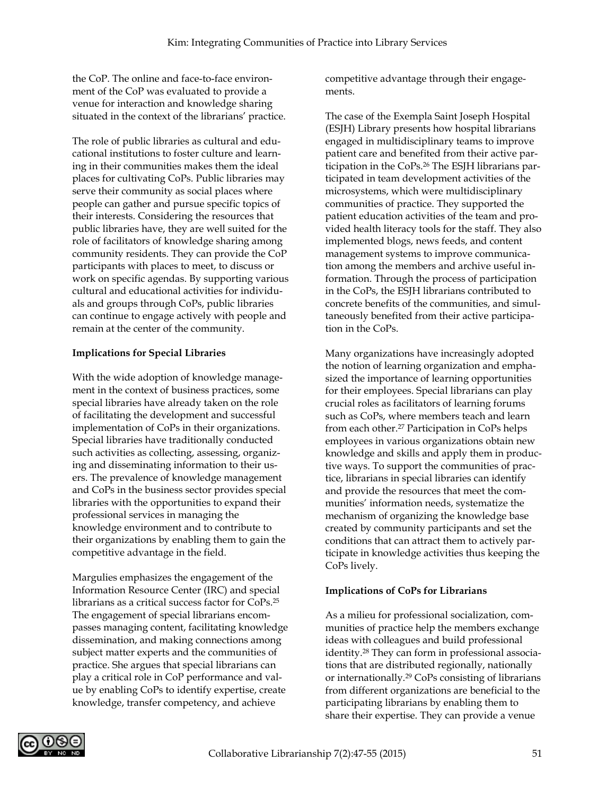the CoP. The online and face-to-face environment of the CoP was evaluated to provide a venue for interaction and knowledge sharing situated in the context of the librarians' practice.

The role of public libraries as cultural and educational institutions to foster culture and learning in their communities makes them the ideal places for cultivating CoPs. Public libraries may serve their community as social places where people can gather and pursue specific topics of their interests. Considering the resources that public libraries have, they are well suited for the role of facilitators of knowledge sharing among community residents. They can provide the CoP participants with places to meet, to discuss or work on specific agendas. By supporting various cultural and educational activities for individuals and groups through CoPs, public libraries can continue to engage actively with people and remain at the center of the community.

#### **Implications for Special Libraries**

With the wide adoption of knowledge management in the context of business practices, some special libraries have already taken on the role of facilitating the development and successful implementation of CoPs in their organizations. Special libraries have traditionally conducted such activities as collecting, assessing, organizing and disseminating information to their users. The prevalence of knowledge management and CoPs in the business sector provides special libraries with the opportunities to expand their professional services in managing the knowledge environment and to contribute to their organizations by enabling them to gain the competitive advantage in the field.

Margulies emphasizes the engagement of the Information Resource Center (IRC) and special librarians as a critical success factor for CoPs.25 The engagement of special librarians encompasses managing content, facilitating knowledge dissemination, and making connections among subject matter experts and the communities of practice. She argues that special librarians can play a critical role in CoP performance and value by enabling CoPs to identify expertise, create knowledge, transfer competency, and achieve

competitive advantage through their engagements.

The case of the Exempla Saint Joseph Hospital (ESJH) Library presents how hospital librarians engaged in multidisciplinary teams to improve patient care and benefited from their active participation in the CoPs.26 The ESJH librarians participated in team development activities of the microsystems, which were multidisciplinary communities of practice. They supported the patient education activities of the team and provided health literacy tools for the staff. They also implemented blogs, news feeds, and content management systems to improve communication among the members and archive useful information. Through the process of participation in the CoPs, the ESJH librarians contributed to concrete benefits of the communities, and simultaneously benefited from their active participation in the CoPs.

Many organizations have increasingly adopted the notion of learning organization and emphasized the importance of learning opportunities for their employees. Special librarians can play crucial roles as facilitators of learning forums such as CoPs, where members teach and learn from each other.<sup>27</sup> Participation in CoPs helps employees in various organizations obtain new knowledge and skills and apply them in productive ways. To support the communities of practice, librarians in special libraries can identify and provide the resources that meet the communities' information needs, systematize the mechanism of organizing the knowledge base created by community participants and set the conditions that can attract them to actively participate in knowledge activities thus keeping the CoPs lively.

#### **Implications of CoPs for Librarians**

As a milieu for professional socialization, communities of practice help the members exchange ideas with colleagues and build professional identity.28 They can form in professional associations that are distributed regionally, nationally or internationally.29 CoPs consisting of librarians from different organizations are beneficial to the participating librarians by enabling them to share their expertise. They can provide a venue

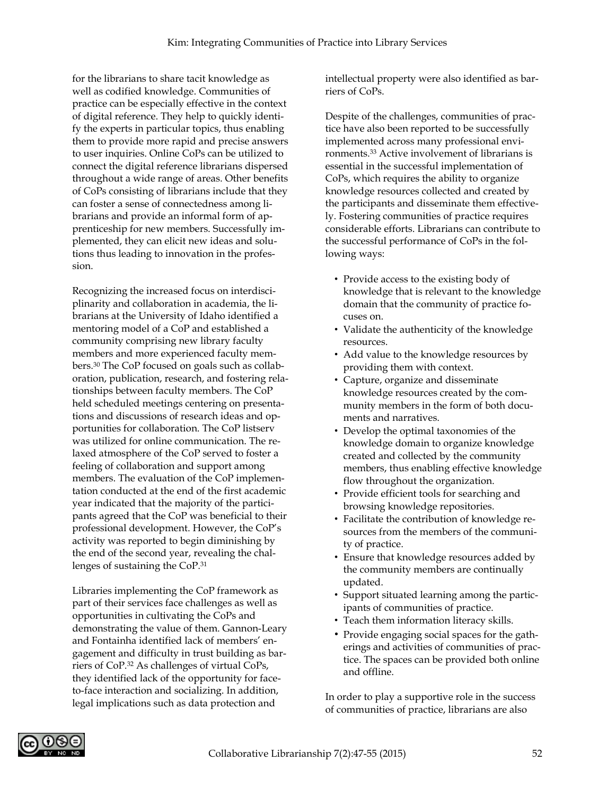for the librarians to share tacit knowledge as well as codified knowledge. Communities of practice can be especially effective in the context of digital reference. They help to quickly identify the experts in particular topics, thus enabling them to provide more rapid and precise answers to user inquiries. Online CoPs can be utilized to connect the digital reference librarians dispersed throughout a wide range of areas. Other benefits of CoPs consisting of librarians include that they can foster a sense of connectedness among librarians and provide an informal form of apprenticeship for new members. Successfully implemented, they can elicit new ideas and solutions thus leading to innovation in the profession.

Recognizing the increased focus on interdisciplinarity and collaboration in academia, the librarians at the University of Idaho identified a mentoring model of a CoP and established a community comprising new library faculty members and more experienced faculty members.30 The CoP focused on goals such as collaboration, publication, research, and fostering relationships between faculty members. The CoP held scheduled meetings centering on presentations and discussions of research ideas and opportunities for collaboration. The CoP listserv was utilized for online communication. The relaxed atmosphere of the CoP served to foster a feeling of collaboration and support among members. The evaluation of the CoP implementation conducted at the end of the first academic year indicated that the majority of the participants agreed that the CoP was beneficial to their professional development. However, the CoP's activity was reported to begin diminishing by the end of the second year, revealing the challenges of sustaining the CoP.31

Libraries implementing the CoP framework as part of their services face challenges as well as opportunities in cultivating the CoPs and demonstrating the value of them. Gannon-Leary and Fontainha identified lack of members' engagement and difficulty in trust building as barriers of CoP.32 As challenges of virtual CoPs, they identified lack of the opportunity for faceto-face interaction and socializing. In addition, legal implications such as data protection and

intellectual property were also identified as barriers of CoPs.

Despite of the challenges, communities of practice have also been reported to be successfully implemented across many professional environments.33 Active involvement of librarians is essential in the successful implementation of CoPs, which requires the ability to organize knowledge resources collected and created by the participants and disseminate them effectively. Fostering communities of practice requires considerable efforts. Librarians can contribute to the successful performance of CoPs in the following ways:

- Provide access to the existing body of knowledge that is relevant to the knowledge domain that the community of practice focuses on.
- Validate the authenticity of the knowledge resources.
- Add value to the knowledge resources by providing them with context.
- Capture, organize and disseminate knowledge resources created by the community members in the form of both documents and narratives.
- Develop the optimal taxonomies of the knowledge domain to organize knowledge created and collected by the community members, thus enabling effective knowledge flow throughout the organization.
- Provide efficient tools for searching and browsing knowledge repositories.
- Facilitate the contribution of knowledge resources from the members of the community of practice.
- Ensure that knowledge resources added by the community members are continually updated.
- Support situated learning among the participants of communities of practice.
- Teach them information literacy skills.
- Provide engaging social spaces for the gatherings and activities of communities of practice. The spaces can be provided both online and offline.

In order to play a supportive role in the success of communities of practice, librarians are also

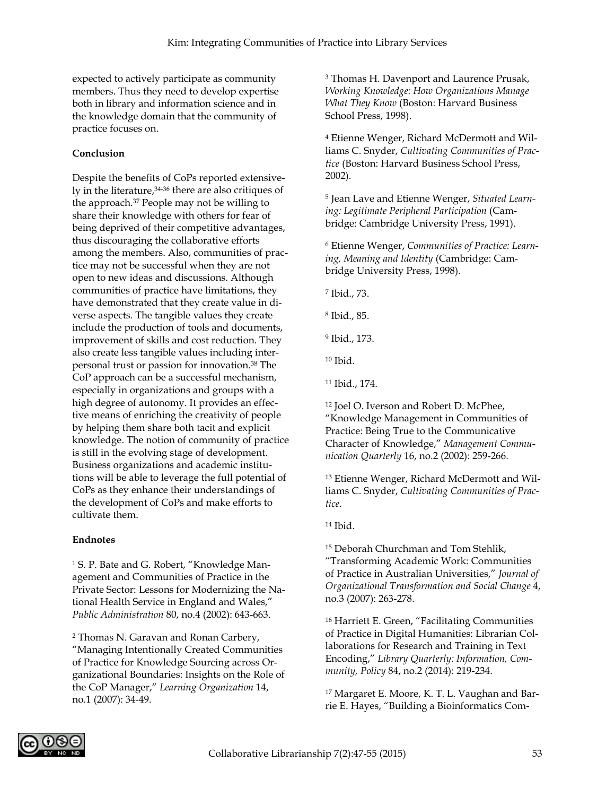expected to actively participate as community members. Thus they need to develop expertise both in library and information science and in the knowledge domain that the community of practice focuses on.

#### **Conclusion**

Despite the benefits of CoPs reported extensively in the literature,34-36 there are also critiques of the approach.37 People may not be willing to share their knowledge with others for fear of being deprived of their competitive advantages, thus discouraging the collaborative efforts among the members. Also, communities of practice may not be successful when they are not open to new ideas and discussions. Although communities of practice have limitations, they have demonstrated that they create value in diverse aspects. The tangible values they create include the production of tools and documents, improvement of skills and cost reduction. They also create less tangible values including interpersonal trust or passion for innovation.38 The CoP approach can be a successful mechanism, especially in organizations and groups with a high degree of autonomy. It provides an effective means of enriching the creativity of people by helping them share both tacit and explicit knowledge. The notion of community of practice is still in the evolving stage of development. Business organizations and academic institutions will be able to leverage the full potential of CoPs as they enhance their understandings of the development of CoPs and make efforts to cultivate them.

#### **Endnotes**

<sup>1</sup> S. P. Bate and G. Robert, "Knowledge Management and Communities of Practice in the Private Sector: Lessons for Modernizing the National Health Service in England and Wales," *Public Administration* 80, no.4 (2002): 643-663.

<sup>2</sup> Thomas N. Garavan and Ronan Carbery, "Managing Intentionally Created Communities of Practice for Knowledge Sourcing across Organizational Boundaries: Insights on the Role of the CoP Manager," *Learning Organization* 14, no.1 (2007): 34-49.

<sup>3</sup> Thomas H. Davenport and Laurence Prusak, *Working Knowledge: How Organizations Manage What They Know* (Boston: Harvard Business School Press, 1998).

<sup>4</sup> Etienne Wenger, Richard McDermott and Williams C. Snyder, *Cultivating Communities of Practice* (Boston: Harvard Business School Press, 2002).

<sup>5</sup> Jean Lave and Etienne Wenger, *Situated Learning: Legitimate Peripheral Participation* (Cambridge: Cambridge University Press, 1991).

<sup>6</sup> Etienne Wenger, *Communities of Practice: Learning, Meaning and Identity* (Cambridge: Cambridge University Press, 1998).

<sup>7</sup> Ibid., 73.

<sup>8</sup> Ibid., 85.

<sup>9</sup> Ibid., 173.

 $10$  Ibid.

<sup>11</sup> Ibid., 174.

<sup>12</sup> Joel O. Iverson and Robert D. McPhee, "Knowledge Management in Communities of Practice: Being True to the Communicative Character of Knowledge," *Management Communication Quarterly* 16, no.2 (2002): 259-266.

<sup>13</sup> Etienne Wenger, Richard McDermott and Williams C. Snyder, *Cultivating Communities of Practice*.

<sup>14</sup> Ibid.

<sup>15</sup> Deborah Churchman and Tom Stehlik, "Transforming Academic Work: Communities of Practice in Australian Universities," *Journal of Organizational Transformation and Social Change* 4, no.3 (2007): 263-278.

<sup>16</sup> Harriett E. Green, "Facilitating Communities of Practice in Digital Humanities: Librarian Collaborations for Research and Training in Text Encoding," *Library Quarterly: Information, Community, Policy* 84, no.2 (2014): 219-234.

<sup>17</sup> Margaret E. Moore, K. T. L. Vaughan and Barrie E. Hayes, "Building a Bioinformatics Com-

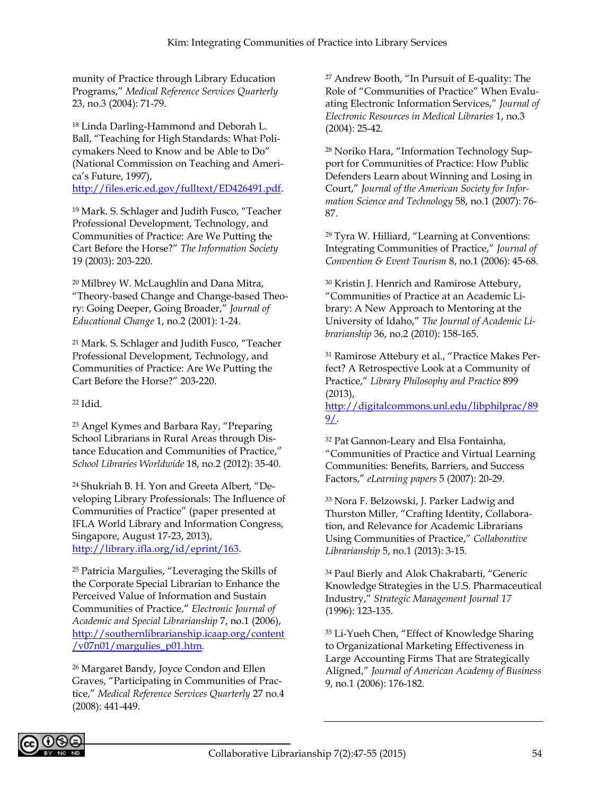munity of Practice through Library Education Programs," *Medical Reference Services Quarterly* 23, no.3 (2004): 71-79.

<sup>18</sup> Linda Darling-Hammond and Deborah L. Ball, "Teaching for High Standards: What Policymakers Need to Know and be Able to Do" (National Commission on Teaching and America's Future, 1997),

[http://files.eric.ed.gov/fulltext/ED426491.pdf.](http://files.eric.ed.gov/fulltext/ED426491.pdf)

<sup>19</sup> Mark. S. Schlager and Judith Fusco, "Teacher Professional Development, Technology, and Communities of Practice: Are We Putting the Cart Before the Horse?" *The Information Society* 19 (2003): 203-220.

<sup>20</sup> Milbrey W. McLaughlin and Dana Mitra, "Theory-based Change and Change-based Theory: Going Deeper, Going Broader," *Journal of Educational Change* 1, no.2 (2001): 1-24.

<sup>21</sup> Mark. S. Schlager and Judith Fusco, "Teacher Professional Development, Technology, and Communities of Practice: Are We Putting the Cart Before the Horse?" 203-220.

<sup>22</sup> Idid.

<sup>23</sup> Angel Kymes and Barbara Ray, "Preparing School Librarians in Rural Areas through Distance Education and Communities of Practice," *School Libraries Worldwide* 18, no.2 (2012): 35-40.

<sup>24</sup> Shukriah B. H. Yon and Greeta Albert, "Developing Library Professionals: The Influence of Communities of Practice" (paper presented at IFLA World Library and Information Congress, Singapore, August 17-23, 2013), [http://library.ifla.org/id/eprint/163.](http://library.ifla.org/id/eprint/163)

<sup>25</sup> Patricia Margulies, "Leveraging the Skills of the Corporate Special Librarian to Enhance the Perceived Value of Information and Sustain Communities of Practice," *Electronic Journal of Academic and Special Librarianship* 7, no.1 (2006), [http://southernlibrarianship.icaap.org/content](http://southernlibrarianship.icaap.org/content/v07n01/margulies_p01.htm) [/v07n01/margulies\\_p01.htm.](http://southernlibrarianship.icaap.org/content/v07n01/margulies_p01.htm)

<sup>26</sup> Margaret Bandy, Joyce Condon and Ellen Graves, "Participating in Communities of Practice," *Medical Reference Services Quarterly* 27 no.4 (2008): 441-449.

<sup>27</sup> Andrew Booth, "In Pursuit of E-quality: The Role of "Communities of Practice" When Evaluating Electronic Information Services," *Journal of Electronic Resources in Medical Libraries* 1, no.3 (2004): 25-42.

<sup>28</sup> Noriko Hara, "Information Technology Support for Communities of Practice: How Public Defenders Learn about Winning and Losing in Court," *Journal of the American Society for Information Science and Technology* 58, no.1 (2007): 76- 87.

<sup>29</sup> Tyra W. Hilliard, "Learning at Conventions: Integrating Communities of Practice," *Journal of Convention & Event Tourism* 8, no.1 (2006): 45-68.

<sup>30</sup> Kristin J. Henrich and Ramirose Attebury, "Communities of Practice at an Academic Library: A New Approach to Mentoring at the University of Idaho," *The Journal of Academic Librarianship* 36, no.2 (2010): 158-165.

<sup>31</sup> Ramirose Attebury et al., "Practice Makes Perfect? A Retrospective Look at a Community of Practice," *Library Philosophy and Practice* 899 (2013),

[http://digitalcommons.unl.edu/libphilprac/89](http://digitalcommons.unl.edu/libphilprac/899/) [9/.](http://digitalcommons.unl.edu/libphilprac/899/)

<sup>32</sup> Pat Gannon-Leary and Elsa Fontainha, "Communities of Practice and Virtual Learning Communities: Benefits, Barriers, and Success Factors," *eLearning papers* 5 (2007): 20-29.

<sup>33</sup> Nora F. Belzowski, J. Parker Ladwig and Thurston Miller, "Crafting Identity, Collaboration, and Relevance for Academic Librarians Using Communities of Practice," *Collaborative Librarianship* 5, no.1 (2013): 3-15.

<sup>34</sup> Paul Bierly and Alok Chakrabarti, "Generic Knowledge Strategies in the U.S. Pharmaceutical Industry," *Strategic Management Journal 17*  (1996): 123-135.

<sup>35</sup> Li-Yueh Chen, "Effect of Knowledge Sharing to Organizational Marketing Effectiveness in Large Accounting Firms That are Strategically Aligned," *Journal of American Academy of Business*  9, no.1 (2006): 176-182.